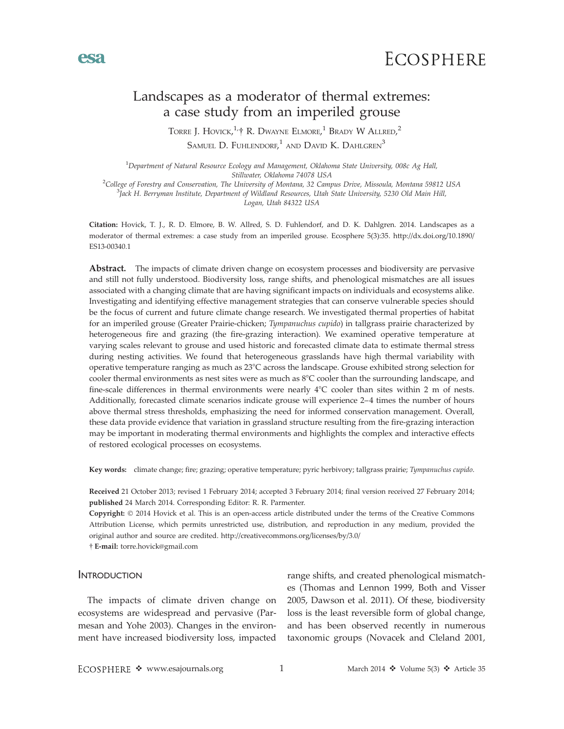

# Landscapes as a moderator of thermal extremes: a case study from an imperiled grouse

Torre J. Hovick, $^{1}$ † R. Dwayne Elmore, $^{1}$  Brady W Allred, $^{2}$ Samuel D. Fuhlendorf, $^1$  and David K. Dahlgren $^3$ 

 $^1$ Department of Natural Resource Ecology and Management, Oklahoma State University, 008c Ag Hall, Stillwater, Oklahoma 74078 USA<br><sup>2</sup>College of Eorestry and Conservation. The University of Montana, 32 Cann

College of Forestry and Conservation, The University of Montana, 32 Campus Drive, Missoula, Montana 59812 USA <sup>3</sup> Jack H. Berryman Institute, Department of Wildland Resources, Utah State University, 5230 Old Main Hill, Logan, Utah 84322 USA

Citation: Hovick, T. J., R. D. Elmore, B. W. Allred, S. D. Fuhlendorf, and D. K. Dahlgren. 2014. Landscapes as a moderator of thermal extremes: a case study from an imperiled grouse. Ecosphere 5(3):35. http://dx.doi.org/10.1890/ ES13-00340.1

Abstract. The impacts of climate driven change on ecosystem processes and biodiversity are pervasive and still not fully understood. Biodiversity loss, range shifts, and phenological mismatches are all issues associated with a changing climate that are having significant impacts on individuals and ecosystems alike. Investigating and identifying effective management strategies that can conserve vulnerable species should be the focus of current and future climate change research. We investigated thermal properties of habitat for an imperiled grouse (Greater Prairie-chicken; Tympanuchus cupido) in tallgrass prairie characterized by heterogeneous fire and grazing (the fire-grazing interaction). We examined operative temperature at varying scales relevant to grouse and used historic and forecasted climate data to estimate thermal stress during nesting activities. We found that heterogeneous grasslands have high thermal variability with operative temperature ranging as much as 23°C across the landscape. Grouse exhibited strong selection for cooler thermal environments as nest sites were as much as  $8^{\circ}$ C cooler than the surrounding landscape, and fine-scale differences in thermal environments were nearly  $4^{\circ}C$  cooler than sites within 2 m of nests. Additionally, forecasted climate scenarios indicate grouse will experience 2–4 times the number of hours above thermal stress thresholds, emphasizing the need for informed conservation management. Overall, these data provide evidence that variation in grassland structure resulting from the fire-grazing interaction may be important in moderating thermal environments and highlights the complex and interactive effects of restored ecological processes on ecosystems.

Key words: climate change; fire; grazing; operative temperature; pyric herbivory; tallgrass prairie; Tympanuchus cupido.

Received 21 October 2013; revised 1 February 2014; accepted 3 February 2014; final version received 27 February 2014; published 24 March 2014. Corresponding Editor: R. R. Parmenter.

Copyright: © 2014 Hovick et al. This is an open-access article distributed under the terms of the Creative Commons Attribution License, which permits unrestricted use, distribution, and reproduction in any medium, provided the original author and source are credited. http://creativecommons.org/licenses/by/3.0/

- E-mail: torre.hovick@gmail.com

## **INTRODUCTION**

esa

The impacts of climate driven change on ecosystems are widespread and pervasive (Parmesan and Yohe 2003). Changes in the environment have increased biodiversity loss, impacted

range shifts, and created phenological mismatches (Thomas and Lennon 1999, Both and Visser 2005, Dawson et al. 2011). Of these, biodiversity loss is the least reversible form of global change, and has been observed recently in numerous taxonomic groups (Novacek and Cleland 2001,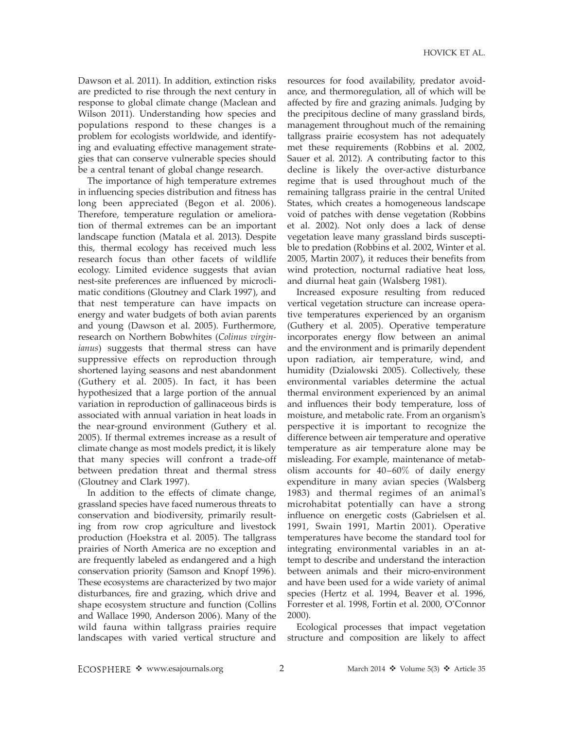Dawson et al. 2011). In addition, extinction risks are predicted to rise through the next century in response to global climate change (Maclean and Wilson 2011). Understanding how species and populations respond to these changes is a problem for ecologists worldwide, and identifying and evaluating effective management strategies that can conserve vulnerable species should be a central tenant of global change research.

The importance of high temperature extremes in influencing species distribution and fitness has long been appreciated (Begon et al. 2006). Therefore, temperature regulation or amelioration of thermal extremes can be an important landscape function (Matala et al. 2013). Despite this, thermal ecology has received much less research focus than other facets of wildlife ecology. Limited evidence suggests that avian nest-site preferences are influenced by microclimatic conditions (Gloutney and Clark 1997), and that nest temperature can have impacts on energy and water budgets of both avian parents and young (Dawson et al. 2005). Furthermore, research on Northern Bobwhites (Colinus virginianus) suggests that thermal stress can have suppressive effects on reproduction through shortened laying seasons and nest abandonment (Guthery et al. 2005). In fact, it has been hypothesized that a large portion of the annual variation in reproduction of gallinaceous birds is associated with annual variation in heat loads in the near-ground environment (Guthery et al. 2005). If thermal extremes increase as a result of climate change as most models predict, it is likely that many species will confront a trade-off between predation threat and thermal stress (Gloutney and Clark 1997).

In addition to the effects of climate change, grassland species have faced numerous threats to conservation and biodiversity, primarily resulting from row crop agriculture and livestock production (Hoekstra et al. 2005). The tallgrass prairies of North America are no exception and are frequently labeled as endangered and a high conservation priority (Samson and Knopf 1996). These ecosystems are characterized by two major disturbances, fire and grazing, which drive and shape ecosystem structure and function (Collins and Wallace 1990, Anderson 2006). Many of the wild fauna within tallgrass prairies require landscapes with varied vertical structure and

resources for food availability, predator avoidance, and thermoregulation, all of which will be affected by fire and grazing animals. Judging by the precipitous decline of many grassland birds, management throughout much of the remaining tallgrass prairie ecosystem has not adequately met these requirements (Robbins et al. 2002, Sauer et al. 2012). A contributing factor to this decline is likely the over-active disturbance regime that is used throughout much of the remaining tallgrass prairie in the central United States, which creates a homogeneous landscape void of patches with dense vegetation (Robbins et al. 2002). Not only does a lack of dense vegetation leave many grassland birds susceptible to predation (Robbins et al. 2002, Winter et al. 2005, Martin 2007), it reduces their benefits from wind protection, nocturnal radiative heat loss, and diurnal heat gain (Walsberg 1981).

Increased exposure resulting from reduced vertical vegetation structure can increase operative temperatures experienced by an organism (Guthery et al. 2005). Operative temperature incorporates energy flow between an animal and the environment and is primarily dependent upon radiation, air temperature, wind, and humidity (Dzialowski 2005). Collectively, these environmental variables determine the actual thermal environment experienced by an animal and influences their body temperature, loss of moisture, and metabolic rate. From an organism's perspective it is important to recognize the difference between air temperature and operative temperature as air temperature alone may be misleading. For example, maintenance of metabolism accounts for 40–60% of daily energy expenditure in many avian species (Walsberg 1983) and thermal regimes of an animal's microhabitat potentially can have a strong influence on energetic costs (Gabrielsen et al. 1991, Swain 1991, Martin 2001). Operative temperatures have become the standard tool for integrating environmental variables in an attempt to describe and understand the interaction between animals and their micro-environment and have been used for a wide variety of animal species (Hertz et al. 1994, Beaver et al. 1996, Forrester et al. 1998, Fortin et al. 2000, O'Connor 2000).

Ecological processes that impact vegetation structure and composition are likely to affect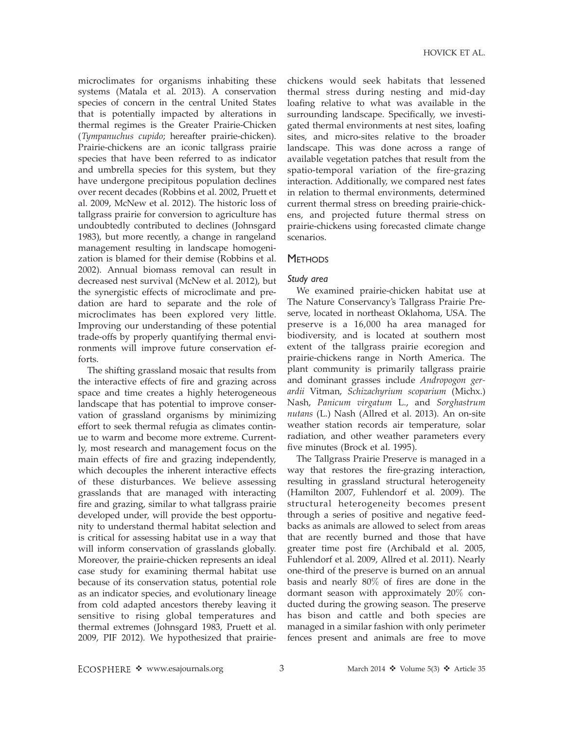microclimates for organisms inhabiting these systems (Matala et al. 2013). A conservation species of concern in the central United States that is potentially impacted by alterations in thermal regimes is the Greater Prairie-Chicken (Tympanuchus cupido; hereafter prairie-chicken). Prairie-chickens are an iconic tallgrass prairie species that have been referred to as indicator and umbrella species for this system, but they have undergone precipitous population declines over recent decades (Robbins et al. 2002, Pruett et al. 2009, McNew et al. 2012). The historic loss of tallgrass prairie for conversion to agriculture has undoubtedly contributed to declines (Johnsgard 1983), but more recently, a change in rangeland management resulting in landscape homogenization is blamed for their demise (Robbins et al. 2002). Annual biomass removal can result in decreased nest survival (McNew et al. 2012), but the synergistic effects of microclimate and predation are hard to separate and the role of microclimates has been explored very little. Improving our understanding of these potential trade-offs by properly quantifying thermal environments will improve future conservation efforts.

The shifting grassland mosaic that results from the interactive effects of fire and grazing across space and time creates a highly heterogeneous landscape that has potential to improve conservation of grassland organisms by minimizing effort to seek thermal refugia as climates continue to warm and become more extreme. Currently, most research and management focus on the main effects of fire and grazing independently, which decouples the inherent interactive effects of these disturbances. We believe assessing grasslands that are managed with interacting fire and grazing, similar to what tallgrass prairie developed under, will provide the best opportunity to understand thermal habitat selection and is critical for assessing habitat use in a way that will inform conservation of grasslands globally. Moreover, the prairie-chicken represents an ideal case study for examining thermal habitat use because of its conservation status, potential role as an indicator species, and evolutionary lineage from cold adapted ancestors thereby leaving it sensitive to rising global temperatures and thermal extremes (Johnsgard 1983, Pruett et al. 2009, PIF 2012). We hypothesized that prairiechickens would seek habitats that lessened thermal stress during nesting and mid-day loafing relative to what was available in the surrounding landscape. Specifically, we investigated thermal environments at nest sites, loafing sites, and micro-sites relative to the broader landscape. This was done across a range of available vegetation patches that result from the spatio-temporal variation of the fire-grazing interaction. Additionally, we compared nest fates in relation to thermal environments, determined current thermal stress on breeding prairie-chickens, and projected future thermal stress on prairie-chickens using forecasted climate change scenarios.

## **METHODS**

## Study area

We examined prairie-chicken habitat use at The Nature Conservancy's Tallgrass Prairie Preserve, located in northeast Oklahoma, USA. The preserve is a 16,000 ha area managed for biodiversity, and is located at southern most extent of the tallgrass prairie ecoregion and prairie-chickens range in North America. The plant community is primarily tallgrass prairie and dominant grasses include Andropogon gerardii Vitman, Schizachyrium scoparium (Michx.) Nash, Panicum virgatum L., and Sorghastrum nutans (L.) Nash (Allred et al. 2013). An on-site weather station records air temperature, solar radiation, and other weather parameters every five minutes (Brock et al. 1995).

The Tallgrass Prairie Preserve is managed in a way that restores the fire-grazing interaction, resulting in grassland structural heterogeneity (Hamilton 2007, Fuhlendorf et al. 2009). The structural heterogeneity becomes present through a series of positive and negative feedbacks as animals are allowed to select from areas that are recently burned and those that have greater time post fire (Archibald et al. 2005, Fuhlendorf et al. 2009, Allred et al. 2011). Nearly one-third of the preserve is burned on an annual basis and nearly 80% of fires are done in the dormant season with approximately 20% conducted during the growing season. The preserve has bison and cattle and both species are managed in a similar fashion with only perimeter fences present and animals are free to move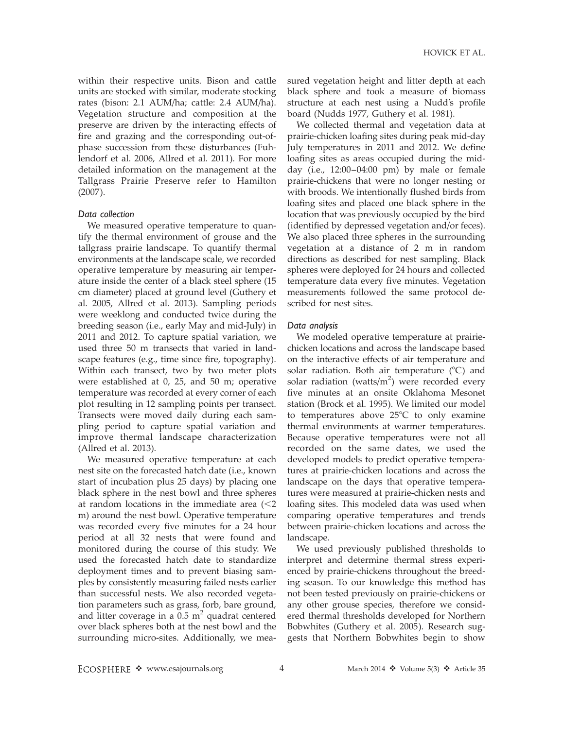within their respective units. Bison and cattle units are stocked with similar, moderate stocking rates (bison: 2.1 AUM/ha; cattle: 2.4 AUM/ha). Vegetation structure and composition at the preserve are driven by the interacting effects of fire and grazing and the corresponding out-ofphase succession from these disturbances (Fuhlendorf et al. 2006, Allred et al. 2011). For more detailed information on the management at the Tallgrass Prairie Preserve refer to Hamilton (2007).

#### Data collection

We measured operative temperature to quantify the thermal environment of grouse and the tallgrass prairie landscape. To quantify thermal environments at the landscape scale, we recorded operative temperature by measuring air temperature inside the center of a black steel sphere (15 cm diameter) placed at ground level (Guthery et al. 2005, Allred et al. 2013). Sampling periods were weeklong and conducted twice during the breeding season (i.e., early May and mid-July) in 2011 and 2012. To capture spatial variation, we used three 50 m transects that varied in landscape features (e.g., time since fire, topography). Within each transect, two by two meter plots were established at 0, 25, and 50 m; operative temperature was recorded at every corner of each plot resulting in 12 sampling points per transect. Transects were moved daily during each sampling period to capture spatial variation and improve thermal landscape characterization (Allred et al. 2013).

We measured operative temperature at each nest site on the forecasted hatch date (i.e., known start of incubation plus 25 days) by placing one black sphere in the nest bowl and three spheres at random locations in the immediate area  $\leq 2$ m) around the nest bowl. Operative temperature was recorded every five minutes for a 24 hour period at all 32 nests that were found and monitored during the course of this study. We used the forecasted hatch date to standardize deployment times and to prevent biasing samples by consistently measuring failed nests earlier than successful nests. We also recorded vegetation parameters such as grass, forb, bare ground, and litter coverage in a  $0.5 \text{ m}^2$  quadrat centered over black spheres both at the nest bowl and the surrounding micro-sites. Additionally, we measured vegetation height and litter depth at each black sphere and took a measure of biomass structure at each nest using a Nudd's profile board (Nudds 1977, Guthery et al. 1981).

We collected thermal and vegetation data at prairie-chicken loafing sites during peak mid-day July temperatures in 2011 and 2012. We define loafing sites as areas occupied during the midday (i.e., 12:00–04:00 pm) by male or female prairie-chickens that were no longer nesting or with broods. We intentionally flushed birds from loafing sites and placed one black sphere in the location that was previously occupied by the bird (identified by depressed vegetation and/or feces). We also placed three spheres in the surrounding vegetation at a distance of 2 m in random directions as described for nest sampling. Black spheres were deployed for 24 hours and collected temperature data every five minutes. Vegetation measurements followed the same protocol described for nest sites.

#### Data analysis

We modeled operative temperature at prairiechicken locations and across the landscape based on the interactive effects of air temperature and solar radiation. Both air temperature  $(^{\circ}C)$  and solar radiation (watts/ $m<sup>2</sup>$ ) were recorded every five minutes at an onsite Oklahoma Mesonet station (Brock et al. 1995). We limited our model to temperatures above  $25^{\circ}$ C to only examine thermal environments at warmer temperatures. Because operative temperatures were not all recorded on the same dates, we used the developed models to predict operative temperatures at prairie-chicken locations and across the landscape on the days that operative temperatures were measured at prairie-chicken nests and loafing sites. This modeled data was used when comparing operative temperatures and trends between prairie-chicken locations and across the landscape.

We used previously published thresholds to interpret and determine thermal stress experienced by prairie-chickens throughout the breeding season. To our knowledge this method has not been tested previously on prairie-chickens or any other grouse species, therefore we considered thermal thresholds developed for Northern Bobwhites (Guthery et al. 2005). Research suggests that Northern Bobwhites begin to show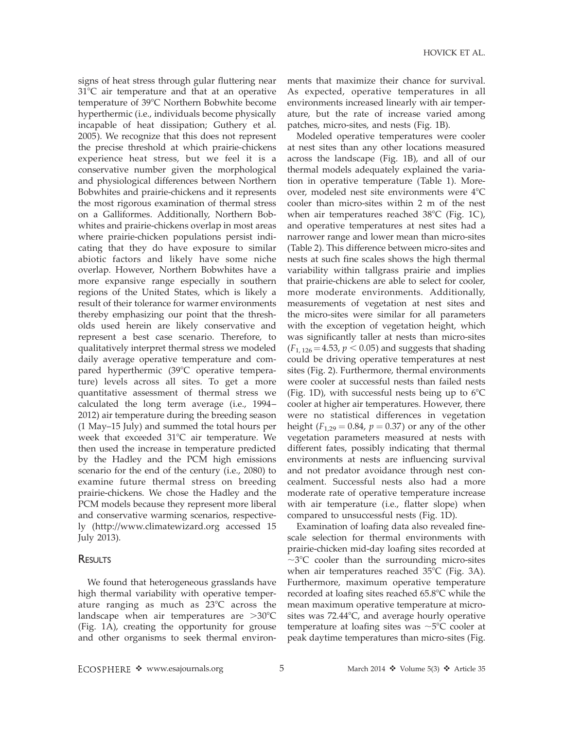signs of heat stress through gular fluttering near  $31^{\circ}$ C air temperature and that at an operative temperature of 39°C Northern Bobwhite become hyperthermic (i.e., individuals become physically incapable of heat dissipation; Guthery et al. 2005). We recognize that this does not represent the precise threshold at which prairie-chickens experience heat stress, but we feel it is a conservative number given the morphological and physiological differences between Northern Bobwhites and prairie-chickens and it represents the most rigorous examination of thermal stress on a Galliformes. Additionally, Northern Bobwhites and prairie-chickens overlap in most areas where prairie-chicken populations persist indicating that they do have exposure to similar abiotic factors and likely have some niche overlap. However, Northern Bobwhites have a more expansive range especially in southern regions of the United States, which is likely a result of their tolerance for warmer environments thereby emphasizing our point that the thresholds used herein are likely conservative and represent a best case scenario. Therefore, to qualitatively interpret thermal stress we modeled daily average operative temperature and compared hyperthermic  $(39^{\circ}C)$  operative temperature) levels across all sites. To get a more quantitative assessment of thermal stress we calculated the long term average (i.e., 1994– 2012) air temperature during the breeding season (1 May–15 July) and summed the total hours per week that exceeded  $31^{\circ}$ C air temperature. We then used the increase in temperature predicted by the Hadley and the PCM high emissions scenario for the end of the century (i.e., 2080) to examine future thermal stress on breeding prairie-chickens. We chose the Hadley and the PCM models because they represent more liberal and conservative warming scenarios, respectively (http://www.climatewizard.org accessed 15 July 2013).

## **RESULTS**

We found that heterogeneous grasslands have high thermal variability with operative temperature ranging as much as  $23^{\circ}$ C across the landscape when air temperatures are  $>30^{\circ}$ C (Fig. 1A), creating the opportunity for grouse and other organisms to seek thermal environments that maximize their chance for survival. As expected, operative temperatures in all environments increased linearly with air temperature, but the rate of increase varied among patches, micro-sites, and nests (Fig. 1B).

Modeled operative temperatures were cooler at nest sites than any other locations measured across the landscape (Fig. 1B), and all of our thermal models adequately explained the variation in operative temperature (Table 1). Moreover, modeled nest site environments were  $4^{\circ}C$ cooler than micro-sites within 2 m of the nest when air temperatures reached  $38^{\circ}$ C (Fig. 1C), and operative temperatures at nest sites had a narrower range and lower mean than micro-sites (Table 2). This difference between micro-sites and nests at such fine scales shows the high thermal variability within tallgrass prairie and implies that prairie-chickens are able to select for cooler, more moderate environments. Additionally, measurements of vegetation at nest sites and the micro-sites were similar for all parameters with the exception of vegetation height, which was significantly taller at nests than micro-sites  $(F_{1, 126} = 4.53, p < 0.05)$  and suggests that shading could be driving operative temperatures at nest sites (Fig. 2). Furthermore, thermal environments were cooler at successful nests than failed nests (Fig. 1D), with successful nests being up to  $6^{\circ}$ C cooler at higher air temperatures. However, there were no statistical differences in vegetation height ( $F_{1,29} = 0.84$ ,  $p = 0.37$ ) or any of the other vegetation parameters measured at nests with different fates, possibly indicating that thermal environments at nests are influencing survival and not predator avoidance through nest concealment. Successful nests also had a more moderate rate of operative temperature increase with air temperature (i.e., flatter slope) when compared to unsuccessful nests (Fig. 1D).

Examination of loafing data also revealed finescale selection for thermal environments with prairie-chicken mid-day loafing sites recorded at  $\sim$ 3°C cooler than the surrounding micro-sites when air temperatures reached  $35^{\circ}$ C (Fig. 3A). Furthermore, maximum operative temperature recorded at loafing sites reached  $65.8^{\circ}$ C while the mean maximum operative temperature at microsites was  $72.44^{\circ}$ C, and average hourly operative temperature at loafing sites was  $\sim$ 5°C cooler at peak daytime temperatures than micro-sites (Fig.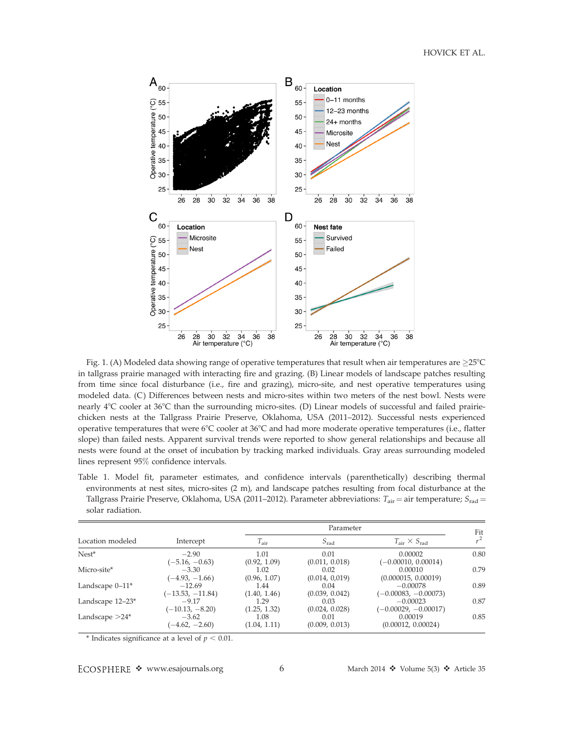HOVICK ET AL.



Fig. 1. (A) Modeled data showing range of operative temperatures that result when air temperatures are  $\geq$ 25°C in tallgrass prairie managed with interacting fire and grazing. (B) Linear models of landscape patches resulting from time since focal disturbance (i.e., fire and grazing), micro-site, and nest operative temperatures using modeled data. (C) Differences between nests and micro-sites within two meters of the nest bowl. Nests were nearly 4°C cooler at 36°C than the surrounding micro-sites. (D) Linear models of successful and failed prairiechicken nests at the Tallgrass Prairie Preserve, Oklahoma, USA (2011–2012). Successful nests experienced operative temperatures that were  $6^{\circ}C$  cooler at  $36^{\circ}C$  and had more moderate operative temperatures (i.e., flatter slope) than failed nests. Apparent survival trends were reported to show general relationships and because all nests were found at the onset of incubation by tracking marked individuals. Gray areas surrounding modeled lines represent 95% confidence intervals.

Table 1. Model fit, parameter estimates, and confidence intervals (parenthetically) describing thermal environments at nest sites, micro-sites (2 m), and landscape patches resulting from focal disturbance at the Tallgrass Prairie Preserve, Oklahoma, USA (2011–2012). Parameter abbreviations:  $T_{air} =$  air temperature;  $S_{rad} =$ solar radiation.

| Location modeled   | Intercept                      | Parameter            |                        |                                        | Fit   |
|--------------------|--------------------------------|----------------------|------------------------|----------------------------------------|-------|
|                    |                                | $T_{\rm air}$        | $S_{\text{rad}}$       | $T_{\text{air}} \times S_{\text{rad}}$ | $r^2$ |
| $Nest^*$           | $-2.90$<br>$(-5.16, -0.63)$    | 1.01<br>(0.92, 1.09) | 0.01<br>(0.011, 0.018) | 0.00002<br>$(-0.00010, 0.00014)$       | 0.80  |
| Micro-site*        | $-3.30$<br>$(-4.93, -1.66)$    | 1.02<br>(0.96, 1.07) | 0.02<br>(0.014, 0.019) | 0.00010<br>(0.000015, 0.00019)         | 0.79  |
| Landscape $0-11^*$ | $-12.69$<br>$(-13.53, -11.84)$ | 1.44<br>(1.40, 1.46) | 0.04<br>(0.039, 0.042) | $-0.00078$<br>$(-0.00083, -0.00073)$   | 0.89  |
| Landscape 12–23*   | $-9.17$<br>$(-10.13, -8.20)$   | 1.29<br>(1.25, 1.32) | 0.03<br>(0.024, 0.028) | $-0.00023$<br>$(-0.00029, -0.00017)$   | 0.87  |
| Landscape $>24^*$  | $-3.62$<br>$(-4.62, -2.60)$    | 1.08<br>(1.04, 1.11) | 0.01<br>(0.009, 0.013) | 0.00019<br>(0.00012, 0.00024)          | 0.85  |

\* Indicates significance at a level of  $p < 0.01$ .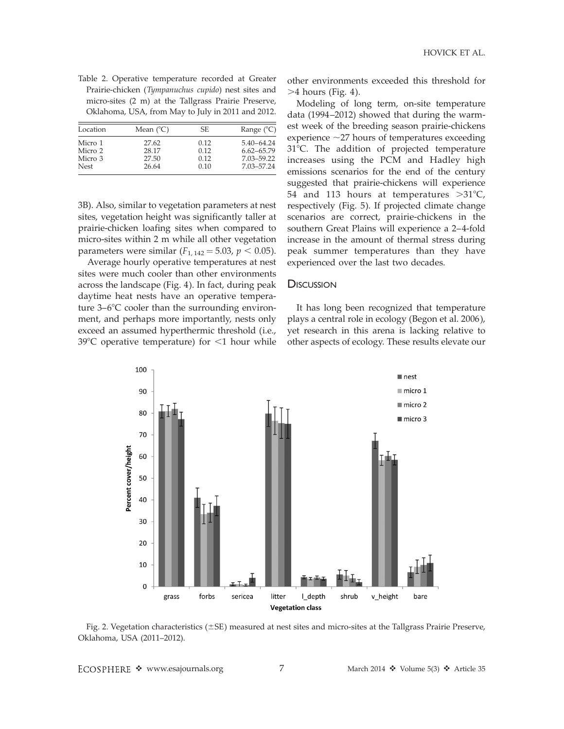| Table 2. Operative temperature recorded at Greater   |
|------------------------------------------------------|
| Prairie-chicken (Tympanuchus cupido) nest sites and  |
| micro-sites (2 m) at the Tallgrass Prairie Preserve, |
| Oklahoma, USA, from May to July in 2011 and 2012.    |

| Location                                     | Mean $(^{\circ}C)$               | SE.                          | Range $(^{\circ}C)$                                          |
|----------------------------------------------|----------------------------------|------------------------------|--------------------------------------------------------------|
| Micro 1<br>Micro 2<br>Micro 3<br><b>Nest</b> | 27.62<br>28.17<br>27.50<br>26.64 | 0.12<br>0.12<br>0.12<br>0.10 | $5.40 - 64.24$<br>$6.62 - 65.79$<br>7.03-59.22<br>7.03-57.24 |

3B). Also, similar to vegetation parameters at nest sites, vegetation height was significantly taller at prairie-chicken loafing sites when compared to micro-sites within 2 m while all other vegetation parameters were similar  $(F_{1, 142} = 5.03, p < 0.05)$ .

Average hourly operative temperatures at nest sites were much cooler than other environments across the landscape (Fig. 4). In fact, during peak daytime heat nests have an operative temperature  $3-6^{\circ}$ C cooler than the surrounding environment, and perhaps more importantly, nests only exceed an assumed hyperthermic threshold (i.e.,  $39^{\circ}$ C operative temperature) for  $\leq$ 1 hour while other environments exceeded this threshold for  $>4$  hours (Fig. 4).

Modeling of long term, on-site temperature data (1994–2012) showed that during the warmest week of the breeding season prairie-chickens experience  $\sim$ 27 hours of temperatures exceeding 31°C. The addition of projected temperature increases using the PCM and Hadley high emissions scenarios for the end of the century suggested that prairie-chickens will experience 54 and 113 hours at temperatures  $>31^{\circ}C$ , respectively (Fig. 5). If projected climate change scenarios are correct, prairie-chickens in the southern Great Plains will experience a 2–4-fold increase in the amount of thermal stress during peak summer temperatures than they have experienced over the last two decades.

## **DISCUSSION**

It has long been recognized that temperature plays a central role in ecology (Begon et al. 2006), yet research in this arena is lacking relative to other aspects of ecology. These results elevate our



Fig. 2. Vegetation characteristics (±SE) measured at nest sites and micro-sites at the Tallgrass Prairie Preserve, Oklahoma, USA (2011–2012).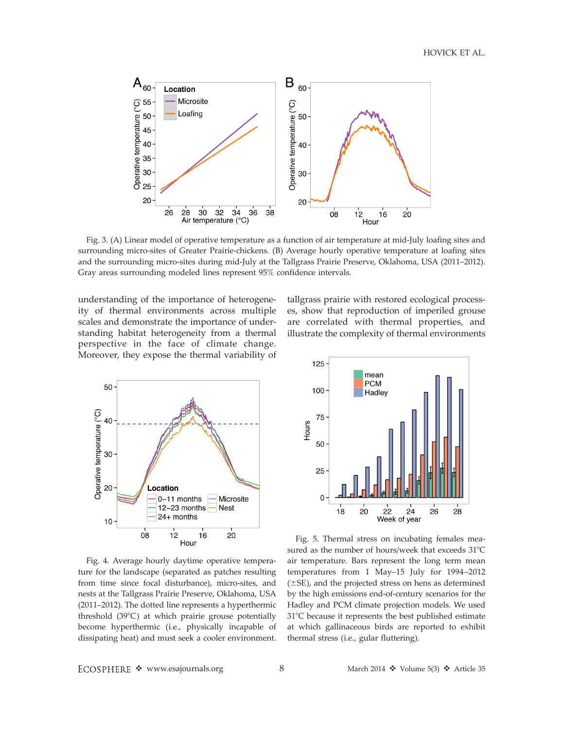HOVICK ET AL.



Fig. 3. (A) Linear model of operative temperature as a function of air temperature at mid-July loafing sites and surrounding micro-sites of Greater Prairie-chickens. (B) Average hourly operative temperature at loafing sites and the surrounding micro-sites during mid-July at the Tallgrass Prairie Preserve, Oklahoma, USA (2011–2012). Gray areas surrounding modeled lines represent 95% confidence intervals.

understanding of the importance of heterogeneity of thermal environments across multiple scales and demonstrate the importance of understanding habitat heterogeneity from a thermal perspective in the face of climate change. Moreover, they expose the thermal variability of



tallgrass prairie with restored ecological processes, show that reproduction of imperiled grouse are correlated with thermal properties, and illustrate the complexity of thermal environments



Fig. 4. Average hourly daytime operative temperature for the landscape (separated as patches resulting from time since focal disturbance), micro-sites, and nests at the Tallgrass Prairie Preserve, Oklahoma, USA (2011–2012). The dotted line represents a hyperthermic threshold  $(39^{\circ}C)$  at which prairie grouse potentially become hyperthermic (i.e., physically incapable of dissipating heat) and must seek a cooler environment.

Fig. 5. Thermal stress on incubating females measured as the number of hours/week that exceeds  $31^{\circ}$ C air temperature. Bars represent the long term mean temperatures from 1 May–15 July for 1994–2012  $(\pm SE)$ , and the projected stress on hens as determined by the high emissions end-of-century scenarios for the Hadley and PCM climate projection models. We used 31°C because it represents the best published estimate at which gallinaceous birds are reported to exhibit thermal stress (i.e., gular fluttering).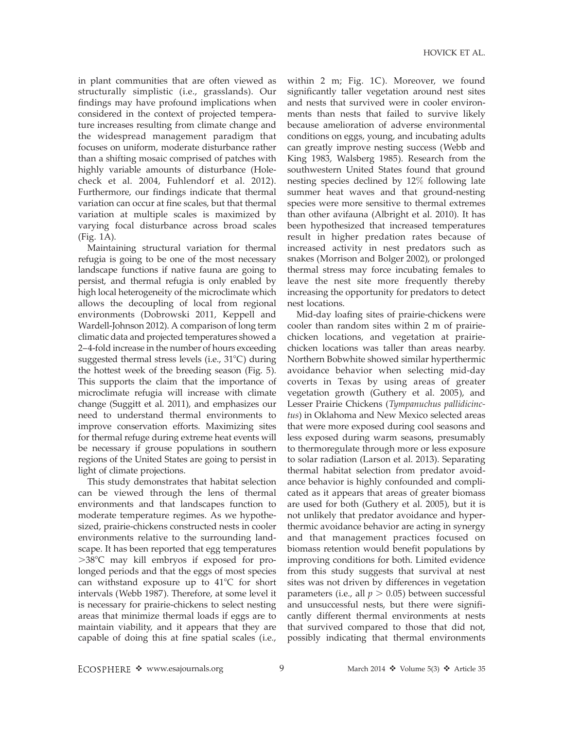in plant communities that are often viewed as structurally simplistic (i.e., grasslands). Our findings may have profound implications when considered in the context of projected temperature increases resulting from climate change and the widespread management paradigm that focuses on uniform, moderate disturbance rather than a shifting mosaic comprised of patches with highly variable amounts of disturbance (Holecheck et al. 2004, Fuhlendorf et al. 2012). Furthermore, our findings indicate that thermal variation can occur at fine scales, but that thermal variation at multiple scales is maximized by varying focal disturbance across broad scales (Fig. 1A).

Maintaining structural variation for thermal refugia is going to be one of the most necessary landscape functions if native fauna are going to persist, and thermal refugia is only enabled by high local heterogeneity of the microclimate which allows the decoupling of local from regional environments (Dobrowski 2011, Keppell and Wardell-Johnson 2012). A comparison of long term climatic data and projected temperatures showed a 2–4-fold increase in the number of hours exceeding suggested thermal stress levels (i.e.,  $31^{\circ}$ C) during the hottest week of the breeding season (Fig. 5). This supports the claim that the importance of microclimate refugia will increase with climate change (Suggitt et al. 2011), and emphasizes our need to understand thermal environments to improve conservation efforts. Maximizing sites for thermal refuge during extreme heat events will be necessary if grouse populations in southern regions of the United States are going to persist in light of climate projections.

This study demonstrates that habitat selection can be viewed through the lens of thermal environments and that landscapes function to moderate temperature regimes. As we hypothesized, prairie-chickens constructed nests in cooler environments relative to the surrounding landscape. It has been reported that egg temperatures  $>38^{\circ}$ C may kill embryos if exposed for prolonged periods and that the eggs of most species can withstand exposure up to  $41^{\circ}$ C for short intervals (Webb 1987). Therefore, at some level it is necessary for prairie-chickens to select nesting areas that minimize thermal loads if eggs are to maintain viability, and it appears that they are capable of doing this at fine spatial scales (i.e.,

within 2 m; Fig. 1C). Moreover, we found significantly taller vegetation around nest sites and nests that survived were in cooler environments than nests that failed to survive likely because amelioration of adverse environmental conditions on eggs, young, and incubating adults can greatly improve nesting success (Webb and King 1983, Walsberg 1985). Research from the southwestern United States found that ground nesting species declined by 12% following late summer heat waves and that ground-nesting species were more sensitive to thermal extremes than other avifauna (Albright et al. 2010). It has been hypothesized that increased temperatures result in higher predation rates because of increased activity in nest predators such as snakes (Morrison and Bolger 2002), or prolonged thermal stress may force incubating females to leave the nest site more frequently thereby increasing the opportunity for predators to detect nest locations.

Mid-day loafing sites of prairie-chickens were cooler than random sites within 2 m of prairiechicken locations, and vegetation at prairiechicken locations was taller than areas nearby. Northern Bobwhite showed similar hyperthermic avoidance behavior when selecting mid-day coverts in Texas by using areas of greater vegetation growth (Guthery et al. 2005), and Lesser Prairie Chickens (Tympanuchus pallidicinctus) in Oklahoma and New Mexico selected areas that were more exposed during cool seasons and less exposed during warm seasons, presumably to thermoregulate through more or less exposure to solar radiation (Larson et al. 2013). Separating thermal habitat selection from predator avoidance behavior is highly confounded and complicated as it appears that areas of greater biomass are used for both (Guthery et al. 2005), but it is not unlikely that predator avoidance and hyperthermic avoidance behavior are acting in synergy and that management practices focused on biomass retention would benefit populations by improving conditions for both. Limited evidence from this study suggests that survival at nest sites was not driven by differences in vegetation parameters (i.e., all  $p > 0.05$ ) between successful and unsuccessful nests, but there were significantly different thermal environments at nests that survived compared to those that did not, possibly indicating that thermal environments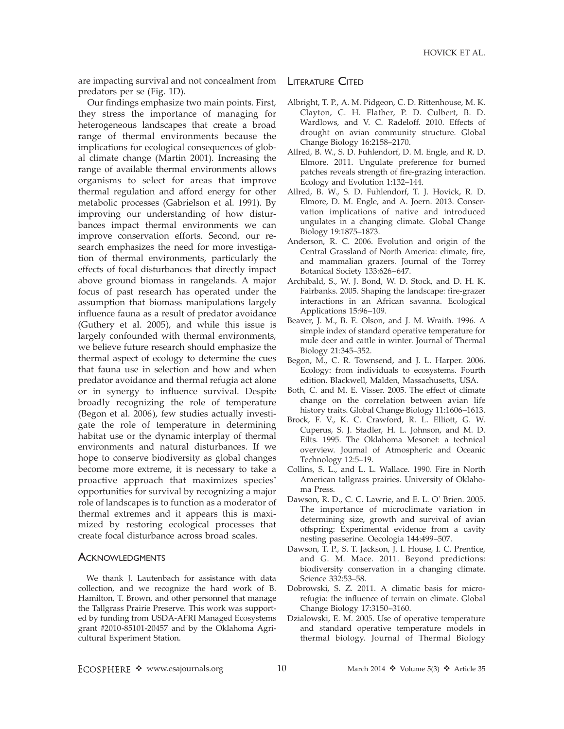are impacting survival and not concealment from predators per se (Fig. 1D).

Our findings emphasize two main points. First, they stress the importance of managing for heterogeneous landscapes that create a broad range of thermal environments because the implications for ecological consequences of global climate change (Martin 2001). Increasing the range of available thermal environments allows organisms to select for areas that improve thermal regulation and afford energy for other metabolic processes (Gabrielson et al. 1991). By improving our understanding of how disturbances impact thermal environments we can improve conservation efforts. Second, our research emphasizes the need for more investigation of thermal environments, particularly the effects of focal disturbances that directly impact above ground biomass in rangelands. A major focus of past research has operated under the assumption that biomass manipulations largely influence fauna as a result of predator avoidance (Guthery et al. 2005), and while this issue is largely confounded with thermal environments, we believe future research should emphasize the thermal aspect of ecology to determine the cues that fauna use in selection and how and when predator avoidance and thermal refugia act alone or in synergy to influence survival. Despite broadly recognizing the role of temperature (Begon et al. 2006), few studies actually investigate the role of temperature in determining habitat use or the dynamic interplay of thermal environments and natural disturbances. If we hope to conserve biodiversity as global changes become more extreme, it is necessary to take a proactive approach that maximizes species' opportunities for survival by recognizing a major role of landscapes is to function as a moderator of thermal extremes and it appears this is maximized by restoring ecological processes that create focal disturbance across broad scales.

## **ACKNOWLEDGMENTS**

We thank J. Lautenbach for assistance with data collection, and we recognize the hard work of B. Hamilton, T. Brown, and other personnel that manage the Tallgrass Prairie Preserve. This work was supported by funding from USDA-AFRI Managed Ecosystems grant #2010-85101-20457 and by the Oklahoma Agricultural Experiment Station.

## LITERATURE CITED

- Albright, T. P., A. M. Pidgeon, C. D. Rittenhouse, M. K. Clayton, C. H. Flather, P. D. Culbert, B. D. Wardlows, and V. C. Radeloff. 2010. Effects of drought on avian community structure. Global Change Biology 16:2158–2170.
- Allred, B. W., S. D. Fuhlendorf, D. M. Engle, and R. D. Elmore. 2011. Ungulate preference for burned patches reveals strength of fire-grazing interaction. Ecology and Evolution 1:132–144.
- Allred, B. W., S. D. Fuhlendorf, T. J. Hovick, R. D. Elmore, D. M. Engle, and A. Joern. 2013. Conservation implications of native and introduced ungulates in a changing climate. Global Change Biology 19:1875–1873.
- Anderson, R. C. 2006. Evolution and origin of the Central Grassland of North America: climate, fire, and mammalian grazers. Journal of the Torrey Botanical Society 133:626–647.
- Archibald, S., W. J. Bond, W. D. Stock, and D. H. K. Fairbanks. 2005. Shaping the landscape: fire-grazer interactions in an African savanna. Ecological Applications 15:96–109.
- Beaver, J. M., B. E. Olson, and J. M. Wraith. 1996. A simple index of standard operative temperature for mule deer and cattle in winter. Journal of Thermal Biology 21:345–352.
- Begon, M., C. R. Townsend, and J. L. Harper. 2006. Ecology: from individuals to ecosystems. Fourth edition. Blackwell, Malden, Massachusetts, USA.
- Both, C. and M. E. Visser. 2005. The effect of climate change on the correlation between avian life history traits. Global Change Biology 11:1606–1613.
- Brock, F. V., K. C. Crawford, R. L. Elliott, G. W. Cuperus, S. J. Stadler, H. L. Johnson, and M. D. Eilts. 1995. The Oklahoma Mesonet: a technical overview. Journal of Atmospheric and Oceanic Technology 12:5–19.
- Collins, S. L., and L. L. Wallace. 1990. Fire in North American tallgrass prairies. University of Oklahoma Press.
- Dawson, R. D., C. C. Lawrie, and E. L. O' Brien. 2005. The importance of microclimate variation in determining size, growth and survival of avian offspring: Experimental evidence from a cavity nesting passerine. Oecologia 144:499–507.
- Dawson, T. P., S. T. Jackson, J. I. House, I. C. Prentice, and G. M. Mace. 2011. Beyond predictions: biodiversity conservation in a changing climate. Science 332:53–58.
- Dobrowski, S. Z. 2011. A climatic basis for microrefugia: the influence of terrain on climate. Global Change Biology 17:3150–3160.
- Dzialowski, E. M. 2005. Use of operative temperature and standard operative temperature models in thermal biology. Journal of Thermal Biology

ECOSPHERE \* www.esajournals.org 10 March 2014 \* Volume 5(3) \* Article 35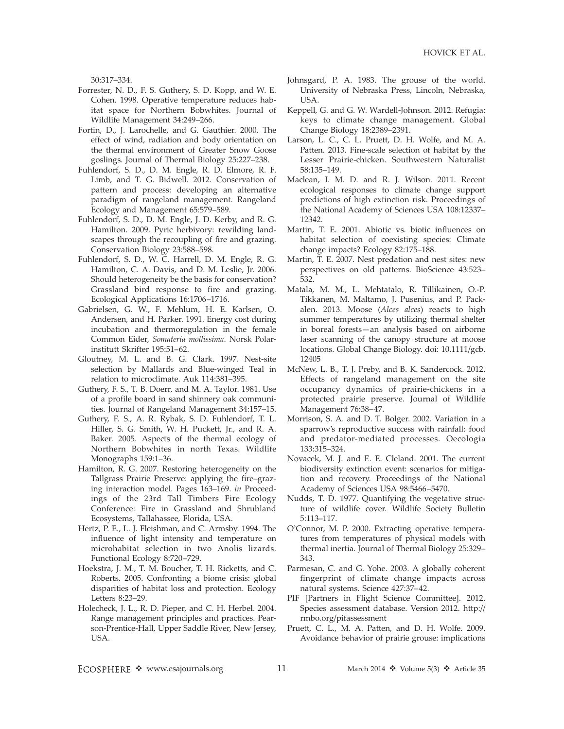30:317–334.

- Forrester, N. D., F. S. Guthery, S. D. Kopp, and W. E. Cohen. 1998. Operative temperature reduces habitat space for Northern Bobwhites. Journal of Wildlife Management 34:249–266.
- Fortin, D., J. Larochelle, and G. Gauthier. 2000. The effect of wind, radiation and body orientation on the thermal environment of Greater Snow Goose goslings. Journal of Thermal Biology 25:227–238.
- Fuhlendorf, S. D., D. M. Engle, R. D. Elmore, R. F. Limb, and T. G. Bidwell. 2012. Conservation of pattern and process: developing an alternative paradigm of rangeland management. Rangeland Ecology and Management 65:579–589.
- Fuhlendorf, S. D., D. M. Engle, J. D. Kerby, and R. G. Hamilton. 2009. Pyric herbivory: rewilding landscapes through the recoupling of fire and grazing. Conservation Biology 23:588–598.
- Fuhlendorf, S. D., W. C. Harrell, D. M. Engle, R. G. Hamilton, C. A. Davis, and D. M. Leslie, Jr. 2006. Should heterogeneity be the basis for conservation? Grassland bird response to fire and grazing. Ecological Applications 16:1706–1716.
- Gabrielsen, G. W., F. Mehlum, H. E. Karlsen, O. Andersen, and H. Parker. 1991. Energy cost during incubation and thermoregulation in the female Common Eider, Somateria mollissima. Norsk Polarinstitutt Skrifter 195:51–62.
- Gloutney, M. L. and B. G. Clark. 1997. Nest-site selection by Mallards and Blue-winged Teal in relation to microclimate. Auk 114:381–395.
- Guthery, F. S., T. B. Doerr, and M. A. Taylor. 1981. Use of a profile board in sand shinnery oak communities. Journal of Rangeland Management 34:157–15.
- Guthery, F. S., A. R. Rybak, S. D. Fuhlendorf, T. L. Hiller, S. G. Smith, W. H. Puckett, Jr., and R. A. Baker. 2005. Aspects of the thermal ecology of Northern Bobwhites in north Texas. Wildlife Monographs 159:1–36.
- Hamilton, R. G. 2007. Restoring heterogeneity on the Tallgrass Prairie Preserve: applying the fire–grazing interaction model. Pages 163–169. in Proceedings of the 23rd Tall Timbers Fire Ecology Conference: Fire in Grassland and Shrubland Ecosystems, Tallahassee, Florida, USA.
- Hertz, P. E., L. J. Fleishman, and C. Armsby. 1994. The influence of light intensity and temperature on microhabitat selection in two Anolis lizards. Functional Ecology 8:720–729.
- Hoekstra, J. M., T. M. Boucher, T. H. Ricketts, and C. Roberts. 2005. Confronting a biome crisis: global disparities of habitat loss and protection. Ecology Letters 8:23–29.
- Holecheck, J. L., R. D. Pieper, and C. H. Herbel. 2004. Range management principles and practices. Pearson-Prentice-Hall, Upper Saddle River, New Jersey, USA.
- Johnsgard, P. A. 1983. The grouse of the world. University of Nebraska Press, Lincoln, Nebraska, USA.
- Keppell, G. and G. W. Wardell-Johnson. 2012. Refugia: keys to climate change management. Global Change Biology 18:2389–2391.
- Larson, L. C., C. L. Pruett, D. H. Wolfe, and M. A. Patten. 2013. Fine-scale selection of habitat by the Lesser Prairie-chicken. Southwestern Naturalist 58:135–149.
- Maclean, I. M. D. and R. J. Wilson. 2011. Recent ecological responses to climate change support predictions of high extinction risk. Proceedings of the National Academy of Sciences USA 108:12337– 12342.
- Martin, T. E. 2001. Abiotic vs. biotic influences on habitat selection of coexisting species: Climate change impacts? Ecology 82:175–188.
- Martin, T. E. 2007. Nest predation and nest sites: new perspectives on old patterns. BioScience 43:523– 532.
- Matala, M. M., L. Mehtatalo, R. Tillikainen, O.-P. Tikkanen, M. Maltamo, J. Pusenius, and P. Packalen. 2013. Moose (Alces alces) reacts to high summer temperatures by utilizing thermal shelter in boreal forests—an analysis based on airborne laser scanning of the canopy structure at moose locations. Global Change Biology. doi: 10.1111/gcb. 12405
- McNew, L. B., T. J. Preby, and B. K. Sandercock. 2012. Effects of rangeland management on the site occupancy dynamics of prairie-chickens in a protected prairie preserve. Journal of Wildlife Management 76:38–47.
- Morrison, S. A. and D. T. Bolger. 2002. Variation in a sparrow's reproductive success with rainfall: food and predator-mediated processes. Oecologia 133:315–324.
- Novacek, M. J. and E. E. Cleland. 2001. The current biodiversity extinction event: scenarios for mitigation and recovery. Proceedings of the National Academy of Sciences USA 98:5466–5470.
- Nudds, T. D. 1977. Quantifying the vegetative structure of wildlife cover. Wildlife Society Bulletin 5:113–117.
- O'Connor, M. P. 2000. Extracting operative temperatures from temperatures of physical models with thermal inertia. Journal of Thermal Biology 25:329– 343.
- Parmesan, C. and G. Yohe. 2003. A globally coherent fingerprint of climate change impacts across natural systems. Science 427:37–42.
- PIF [Partners in Flight Science Committee]. 2012. Species assessment database. Version 2012. http:// rmbo.org/pifassessment
- Pruett, C. L., M. A. Patten, and D. H. Wolfe. 2009. Avoidance behavior of prairie grouse: implications